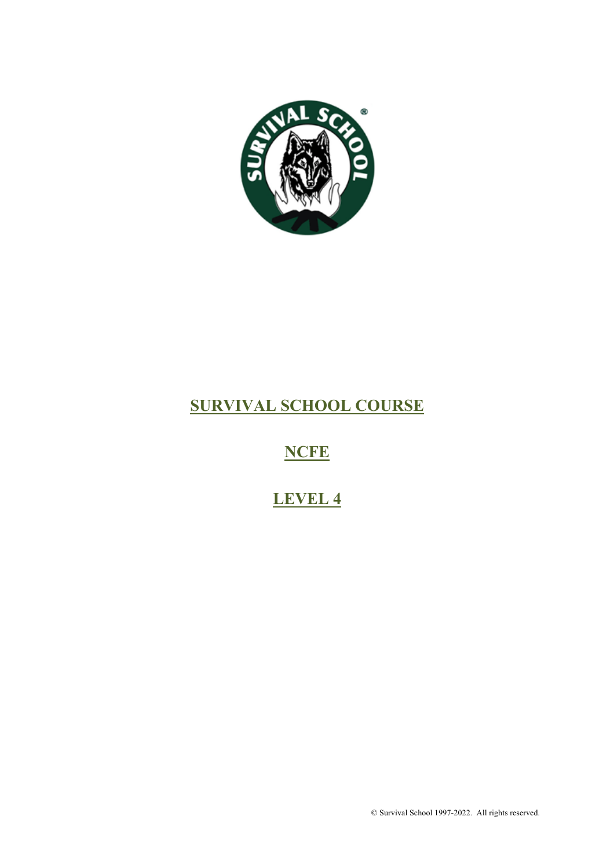

## **SURVIVAL SCHOOL COURSE**

## **NCFE**

# **LEVEL 4**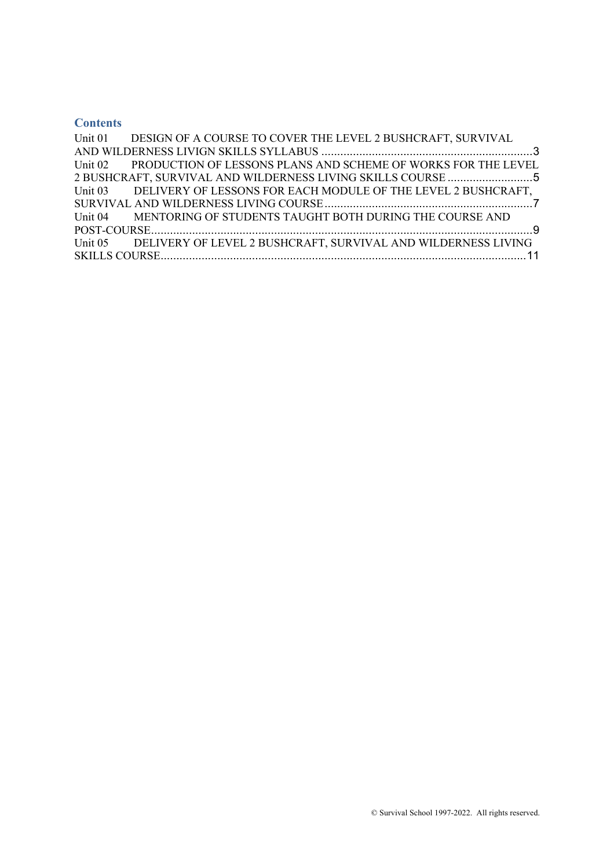## **Contents**

| Unit 01 DESIGN OF A COURSE TO COVER THE LEVEL 2 BUSHCRAFT, SURVIVAL   |
|-----------------------------------------------------------------------|
|                                                                       |
| Unit 02 PRODUCTION OF LESSONS PLANS AND SCHEME OF WORKS FOR THE LEVEL |
|                                                                       |
| Unit 03 DELIVERY OF LESSONS FOR EACH MODULE OF THE LEVEL 2 BUSHCRAFT, |
|                                                                       |
| Unit 04 MENTORING OF STUDENTS TAUGHT BOTH DURING THE COURSE AND       |
|                                                                       |
| Unit 05 DELIVERY OF LEVEL 2 BUSHCRAFT, SURVIVAL AND WILDERNESS LIVING |
|                                                                       |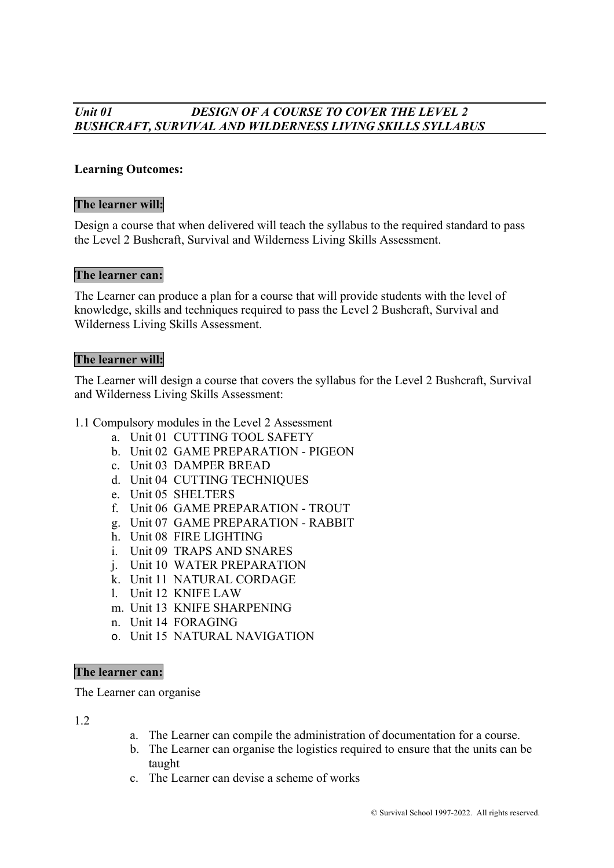## *Unit 01 DESIGN OF A COURSE TO COVER THE LEVEL 2 BUSHCRAFT, SURVIVAL AND WILDERNESS LIVING SKILLS SYLLABUS*

#### **Learning Outcomes:**

#### **The learner will:**

Design a course that when delivered will teach the syllabus to the required standard to pass the Level 2 Bushcraft, Survival and Wilderness Living Skills Assessment.

#### **The learner can:**

The Learner can produce a plan for a course that will provide students with the level of knowledge, skills and techniques required to pass the Level 2 Bushcraft, Survival and Wilderness Living Skills Assessment.

#### **The learner will:**

The Learner will design a course that covers the syllabus for the Level 2 Bushcraft, Survival and Wilderness Living Skills Assessment:

- 1.1 Compulsory modules in the Level 2 Assessment
	- a. Unit 01 CUTTING TOOL SAFETY
	- b. Unit 02 GAME PREPARATION PIGEON
	- c. Unit 03 DAMPER BREAD
	- d. Unit 04 CUTTING TECHNIQUES
	- e. Unit 05 SHELTERS
	- f. Unit 06 GAME PREPARATION TROUT
	- g. Unit 07 GAME PREPARATION RABBIT
	- h. Unit 08 FIRE LIGHTING
	- i. Unit 09 TRAPS AND SNARES
	- j. Unit 10 WATER PREPARATION
	- k. Unit 11 NATURAL CORDAGE
	- l. Unit 12 KNIFE LAW
	- m. Unit 13 KNIFE SHARPENING
	- n. Unit 14 FORAGING
	- o. Unit 15 NATURAL NAVIGATION

#### **The learner can:**

The Learner can organise

1.2

- a. The Learner can compile the administration of documentation for a course.
- b. The Learner can organise the logistics required to ensure that the units can be taught
- c. The Learner can devise a scheme of works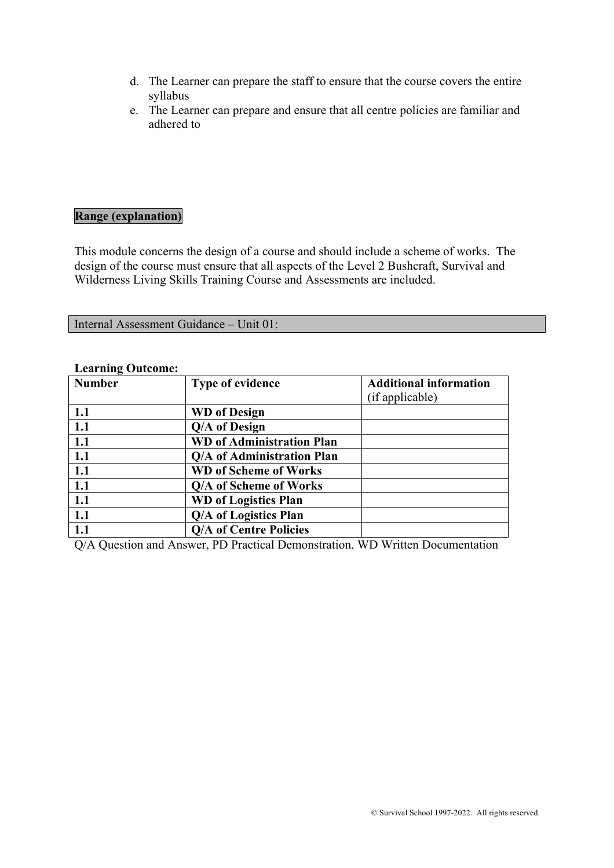- d. The Learner can prepare the staff to ensure that the course covers the entire syllabus
- e. The Learner can prepare and ensure that all centre policies are familiar and adhered to

#### **Range (explanation)**

This module concerns the design of a course and should include a scheme of works. The design of the course must ensure that all aspects of the Level 2 Bushcraft, Survival and Wilderness Living Skills Training Course and Assessments are included.

Internal Assessment Guidance – Unit 01:

| <b>Number</b> | <b>Type of evidence</b>          | <b>Additional information</b><br>(if applicable) |
|---------------|----------------------------------|--------------------------------------------------|
| 1.1           | <b>WD</b> of Design              |                                                  |
| 1.1           | Q/A of Design                    |                                                  |
| 1.1           | <b>WD</b> of Administration Plan |                                                  |
| 1.1           | Q/A of Administration Plan       |                                                  |
| 1.1           | <b>WD</b> of Scheme of Works     |                                                  |
| 1.1           | Q/A of Scheme of Works           |                                                  |
| 1.1           | <b>WD</b> of Logistics Plan      |                                                  |
| 1.1           | Q/A of Logistics Plan            |                                                  |
| $1.1\,$       | <b>Q/A of Centre Policies</b>    |                                                  |

#### **Learning Outcome:**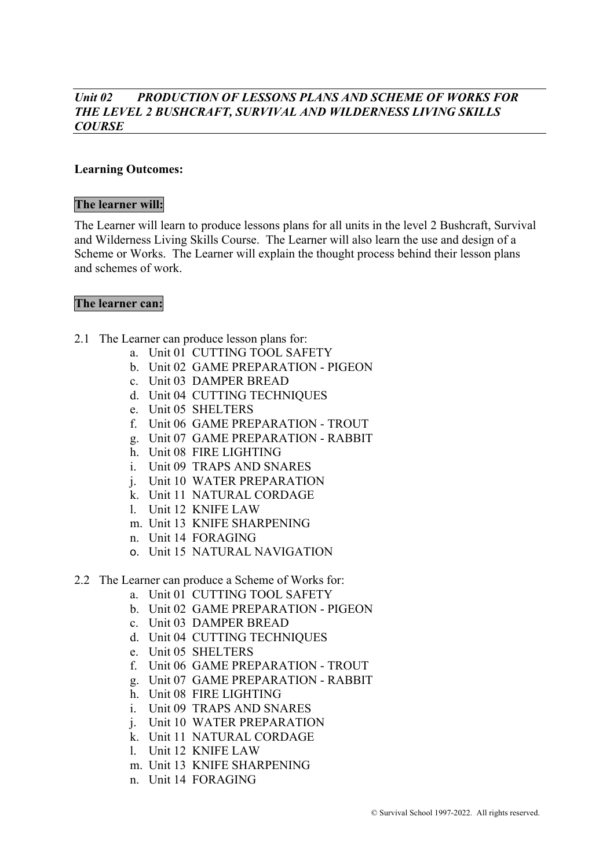#### *Unit 02 PRODUCTION OF LESSONS PLANS AND SCHEME OF WORKS FOR THE LEVEL 2 BUSHCRAFT, SURVIVAL AND WILDERNESS LIVING SKILLS COURSE*

#### **Learning Outcomes:**

#### **The learner will:**

The Learner will learn to produce lessons plans for all units in the level 2 Bushcraft, Survival and Wilderness Living Skills Course. The Learner will also learn the use and design of a Scheme or Works. The Learner will explain the thought process behind their lesson plans and schemes of work.

#### **The learner can:**

- 2.1 The Learner can produce lesson plans for:
	- a. Unit 01 CUTTING TOOL SAFETY
	- b. Unit 02 GAME PREPARATION PIGEON
	- c. Unit 03 DAMPER BREAD
	- d. Unit 04 CUTTING TECHNIQUES
	- e. Unit 05 SHELTERS
	- f. Unit 06 GAME PREPARATION TROUT
	- g. Unit 07 GAME PREPARATION RABBIT
	- h. Unit 08 FIRE LIGHTING
	- i. Unit 09 TRAPS AND SNARES
	- j. Unit 10 WATER PREPARATION
	- k. Unit 11 NATURAL CORDAGE
	- l. Unit 12 KNIFE LAW
	- m. Unit 13 KNIFE SHARPENING
	- n. Unit 14 FORAGING
	- o. Unit 15 NATURAL NAVIGATION
- 2.2 The Learner can produce a Scheme of Works for:
	- a. Unit 01 CUTTING TOOL SAFETY
	- b. Unit 02 GAME PREPARATION PIGEON
	- c. Unit 03 DAMPER BREAD
	- d. Unit 04 CUTTING TECHNIQUES
	- e. Unit 05 SHELTERS
	- f. Unit 06 GAME PREPARATION TROUT
	- g. Unit 07 GAME PREPARATION RABBIT
	- h. Unit 08 FIRE LIGHTING
	- i. Unit 09 TRAPS AND SNARES
	- j. Unit 10 WATER PREPARATION
	- k. Unit 11 NATURAL CORDAGE
	- l. Unit 12 KNIFE LAW
	- m. Unit 13 KNIFE SHARPENING
	- n. Unit 14 FORAGING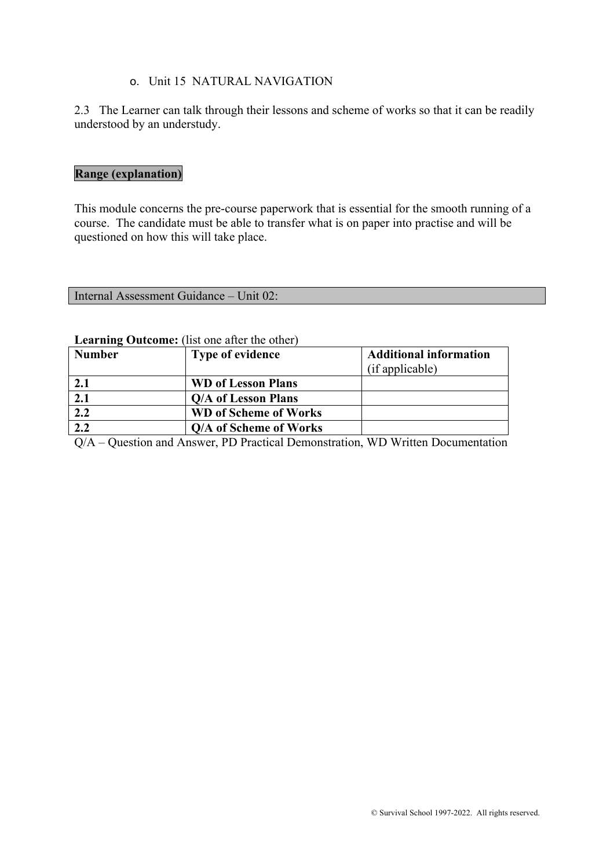### o. Unit 15 NATURAL NAVIGATION

2.3 The Learner can talk through their lessons and scheme of works so that it can be readily understood by an understudy.

## **Range (explanation)**

This module concerns the pre-course paperwork that is essential for the smooth running of a course. The candidate must be able to transfer what is on paper into practise and will be questioned on how this will take place.

Internal Assessment Guidance – Unit 02:

#### **Learning Outcome:** (list one after the other)

| <b>Number</b> | <b>Type of evidence</b>      | <b>Additional information</b><br>(if applicable) |
|---------------|------------------------------|--------------------------------------------------|
| 2.1           | <b>WD of Lesson Plans</b>    |                                                  |
| 2.1           | Q/A of Lesson Plans          |                                                  |
| 2.2           | <b>WD</b> of Scheme of Works |                                                  |
| 2.2           | Q/A of Scheme of Works       |                                                  |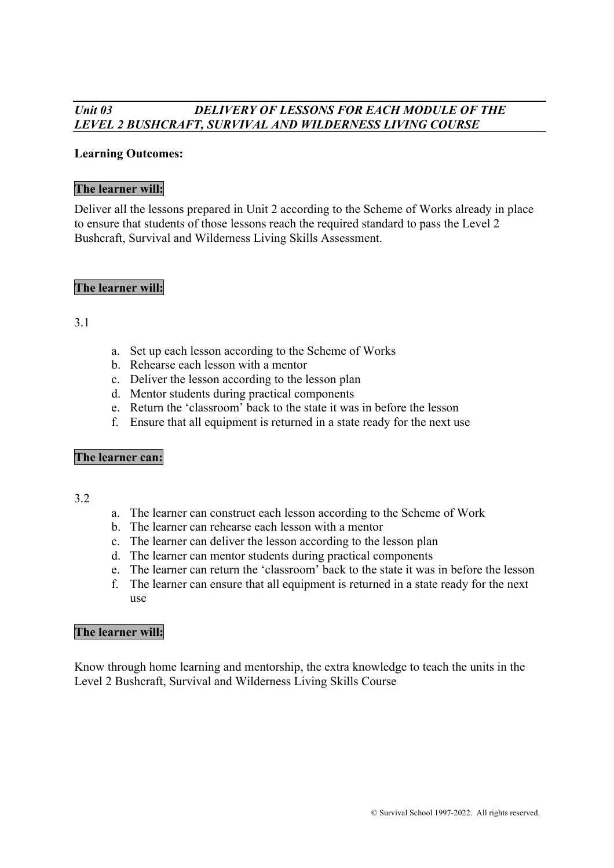## *Unit 03 DELIVERY OF LESSONS FOR EACH MODULE OF THE LEVEL 2 BUSHCRAFT, SURVIVAL AND WILDERNESS LIVING COURSE*

#### **Learning Outcomes:**

#### **The learner will:**

Deliver all the lessons prepared in Unit 2 according to the Scheme of Works already in place to ensure that students of those lessons reach the required standard to pass the Level 2 Bushcraft, Survival and Wilderness Living Skills Assessment.

#### **The learner will:**

#### 3.1

- a. Set up each lesson according to the Scheme of Works
- b. Rehearse each lesson with a mentor
- c. Deliver the lesson according to the lesson plan
- d. Mentor students during practical components
- e. Return the 'classroom' back to the state it was in before the lesson
- f. Ensure that all equipment is returned in a state ready for the next use

#### **The learner can:**

#### 3.2

- a. The learner can construct each lesson according to the Scheme of Work
- b. The learner can rehearse each lesson with a mentor
- c. The learner can deliver the lesson according to the lesson plan
- d. The learner can mentor students during practical components
- e. The learner can return the 'classroom' back to the state it was in before the lesson
- f. The learner can ensure that all equipment is returned in a state ready for the next use

#### **The learner will:**

Know through home learning and mentorship, the extra knowledge to teach the units in the Level 2 Bushcraft, Survival and Wilderness Living Skills Course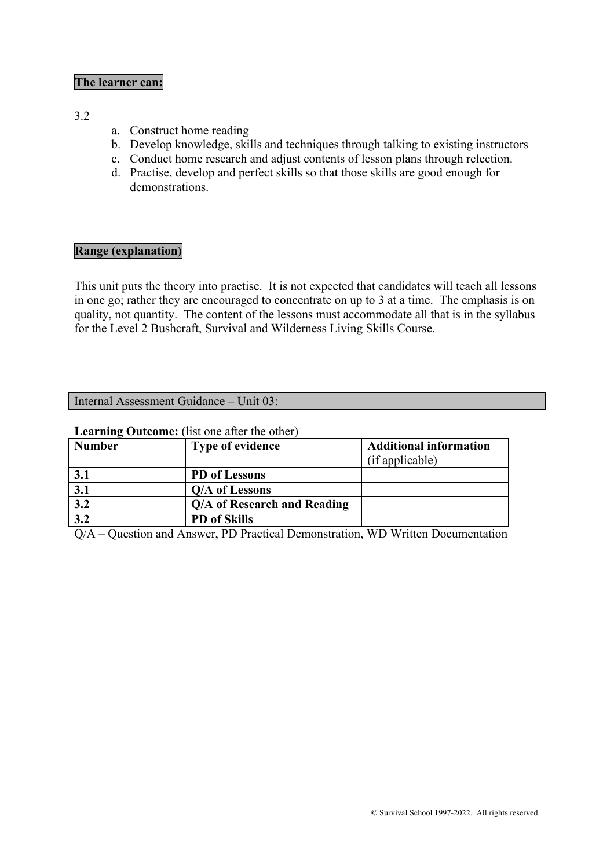#### **The learner can:**

#### 3.2

- a. Construct home reading
- b. Develop knowledge, skills and techniques through talking to existing instructors
- c. Conduct home research and adjust contents of lesson plans through relection.
- d. Practise, develop and perfect skills so that those skills are good enough for demonstrations.

#### **Range (explanation)**

This unit puts the theory into practise. It is not expected that candidates will teach all lessons in one go; rather they are encouraged to concentrate on up to 3 at a time. The emphasis is on quality, not quantity. The content of the lessons must accommodate all that is in the syllabus for the Level 2 Bushcraft, Survival and Wilderness Living Skills Course.

#### Internal Assessment Guidance – Unit 03:

#### **Learning Outcome:** (list one after the other)

| <b>Number</b> | <b>Type of evidence</b>     | <b>Additional information</b> |
|---------------|-----------------------------|-------------------------------|
|               |                             | (if applicable)               |
| 3.1           | PD of Lessons               |                               |
| 3.1           | Q/A of Lessons              |                               |
| 3.2           | Q/A of Research and Reading |                               |
| 3.2           | <b>PD</b> of Skills         |                               |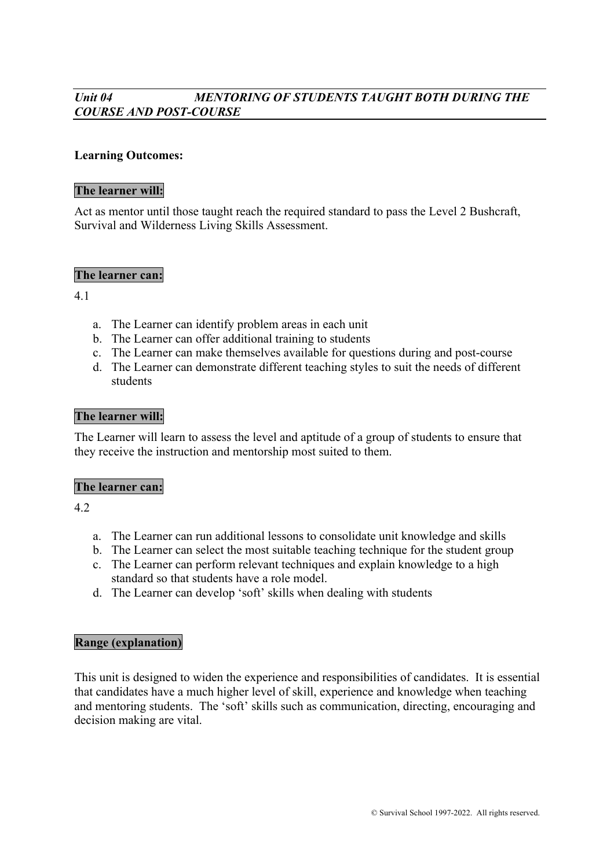## *Unit 04 MENTORING OF STUDENTS TAUGHT BOTH DURING THE COURSE AND POST-COURSE*

#### **Learning Outcomes:**

#### **The learner will:**

Act as mentor until those taught reach the required standard to pass the Level 2 Bushcraft, Survival and Wilderness Living Skills Assessment.

#### **The learner can:**

4.1

- a. The Learner can identify problem areas in each unit
- b. The Learner can offer additional training to students
- c. The Learner can make themselves available for questions during and post-course
- d. The Learner can demonstrate different teaching styles to suit the needs of different students

#### **The learner will:**

The Learner will learn to assess the level and aptitude of a group of students to ensure that they receive the instruction and mentorship most suited to them.

#### **The learner can:**

4.2

- a. The Learner can run additional lessons to consolidate unit knowledge and skills
- b. The Learner can select the most suitable teaching technique for the student group
- c. The Learner can perform relevant techniques and explain knowledge to a high standard so that students have a role model.
- d. The Learner can develop 'soft' skills when dealing with students

#### **Range (explanation)**

This unit is designed to widen the experience and responsibilities of candidates. It is essential that candidates have a much higher level of skill, experience and knowledge when teaching and mentoring students. The 'soft' skills such as communication, directing, encouraging and decision making are vital.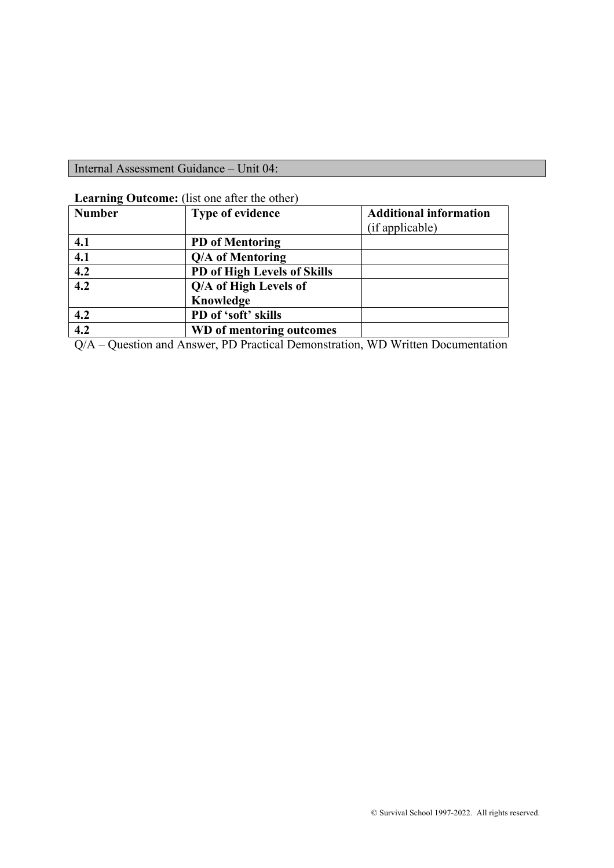Internal Assessment Guidance – Unit 04:

|  | Learning Outcome: (list one after the other) |
|--|----------------------------------------------|
|--|----------------------------------------------|

| <b>Number</b>    | <b>Type of evidence</b>     | <b>Additional information</b> |
|------------------|-----------------------------|-------------------------------|
|                  |                             | (if applicable)               |
| 4.1              | <b>PD</b> of Mentoring      |                               |
| 4.1              | Q/A of Mentoring            |                               |
| 4.2              | PD of High Levels of Skills |                               |
| $\overline{4.2}$ | Q/A of High Levels of       |                               |
|                  | Knowledge                   |                               |
| 4.2              | PD of 'soft' skills         |                               |
| 4.2              | WD of mentoring outcomes    |                               |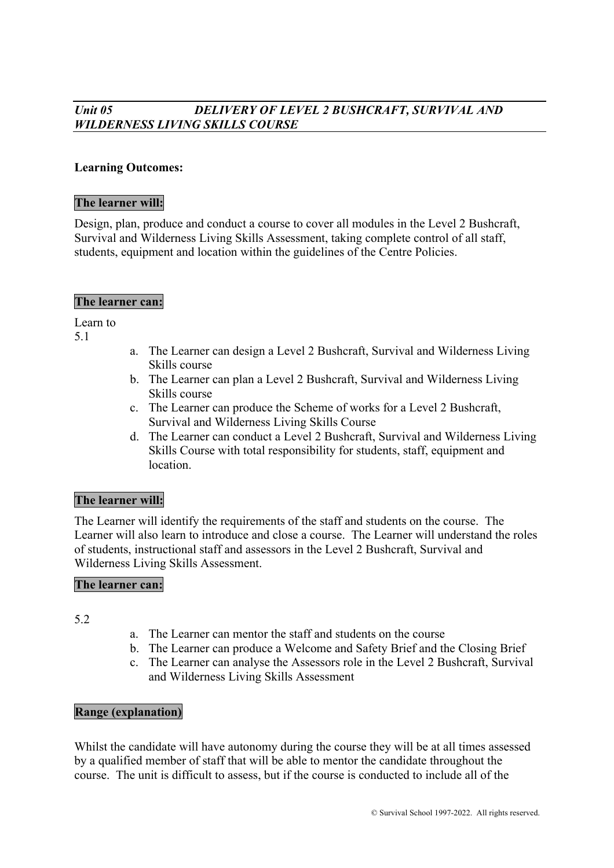## *Unit 05 DELIVERY OF LEVEL 2 BUSHCRAFT, SURVIVAL AND WILDERNESS LIVING SKILLS COURSE*

#### **Learning Outcomes:**

#### **The learner will:**

Design, plan, produce and conduct a course to cover all modules in the Level 2 Bushcraft, Survival and Wilderness Living Skills Assessment, taking complete control of all staff, students, equipment and location within the guidelines of the Centre Policies.

#### **The learner can:**

Learn to

5.1

- a. The Learner can design a Level 2 Bushcraft, Survival and Wilderness Living Skills course
- b. The Learner can plan a Level 2 Bushcraft, Survival and Wilderness Living Skills course
- c. The Learner can produce the Scheme of works for a Level 2 Bushcraft, Survival and Wilderness Living Skills Course
- d. The Learner can conduct a Level 2 Bushcraft, Survival and Wilderness Living Skills Course with total responsibility for students, staff, equipment and location.

## **The learner will:**

The Learner will identify the requirements of the staff and students on the course. The Learner will also learn to introduce and close a course. The Learner will understand the roles of students, instructional staff and assessors in the Level 2 Bushcraft, Survival and Wilderness Living Skills Assessment.

#### **The learner can:**

5.2

- a. The Learner can mentor the staff and students on the course
- b. The Learner can produce a Welcome and Safety Brief and the Closing Brief
- c. The Learner can analyse the Assessors role in the Level 2 Bushcraft, Survival and Wilderness Living Skills Assessment

#### **Range (explanation)**

Whilst the candidate will have autonomy during the course they will be at all times assessed by a qualified member of staff that will be able to mentor the candidate throughout the course. The unit is difficult to assess, but if the course is conducted to include all of the